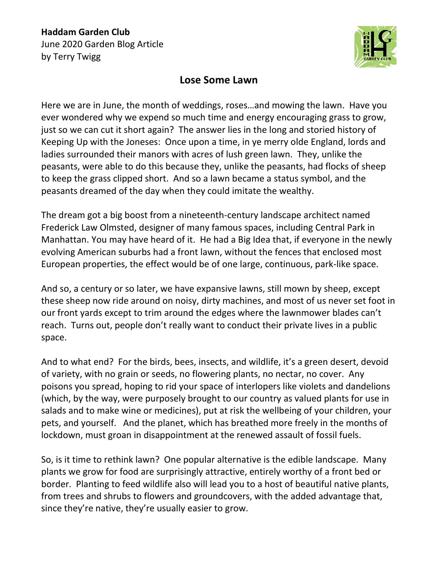**Haddam Garden Club** June 2020 Garden Blog Article by Terry Twigg



## **Lose Some Lawn**

Here we are in June, the month of weddings, roses…and mowing the lawn. Have you ever wondered why we expend so much time and energy encouraging grass to grow, just so we can cut it short again? The answer lies in the long and storied history of Keeping Up with the Joneses: Once upon a time, in ye merry olde England, lords and ladies surrounded their manors with acres of lush green lawn. They, unlike the peasants, were able to do this because they, unlike the peasants, had flocks of sheep to keep the grass clipped short. And so a lawn became a status symbol, and the peasants dreamed of the day when they could imitate the wealthy.

The dream got a big boost from a nineteenth-century landscape architect named Frederick Law Olmsted, designer of many famous spaces, including Central Park in Manhattan. You may have heard of it. He had a Big Idea that, if everyone in the newly evolving American suburbs had a front lawn, without the fences that enclosed most European properties, the effect would be of one large, continuous, park-like space.

And so, a century or so later, we have expansive lawns, still mown by sheep, except these sheep now ride around on noisy, dirty machines, and most of us never set foot in our front yards except to trim around the edges where the lawnmower blades can't reach. Turns out, people don't really want to conduct their private lives in a public space.

And to what end? For the birds, bees, insects, and wildlife, it's a green desert, devoid of variety, with no grain or seeds, no flowering plants, no nectar, no cover. Any poisons you spread, hoping to rid your space of interlopers like violets and dandelions (which, by the way, were purposely brought to our country as valued plants for use in salads and to make wine or medicines), put at risk the wellbeing of your children, your pets, and yourself. And the planet, which has breathed more freely in the months of lockdown, must groan in disappointment at the renewed assault of fossil fuels.

So, is it time to rethink lawn? One popular alternative is the edible landscape. Many plants we grow for food are surprisingly attractive, entirely worthy of a front bed or border. Planting to feed wildlife also will lead you to a host of beautiful native plants, from trees and shrubs to flowers and groundcovers, with the added advantage that, since they're native, they're usually easier to grow.